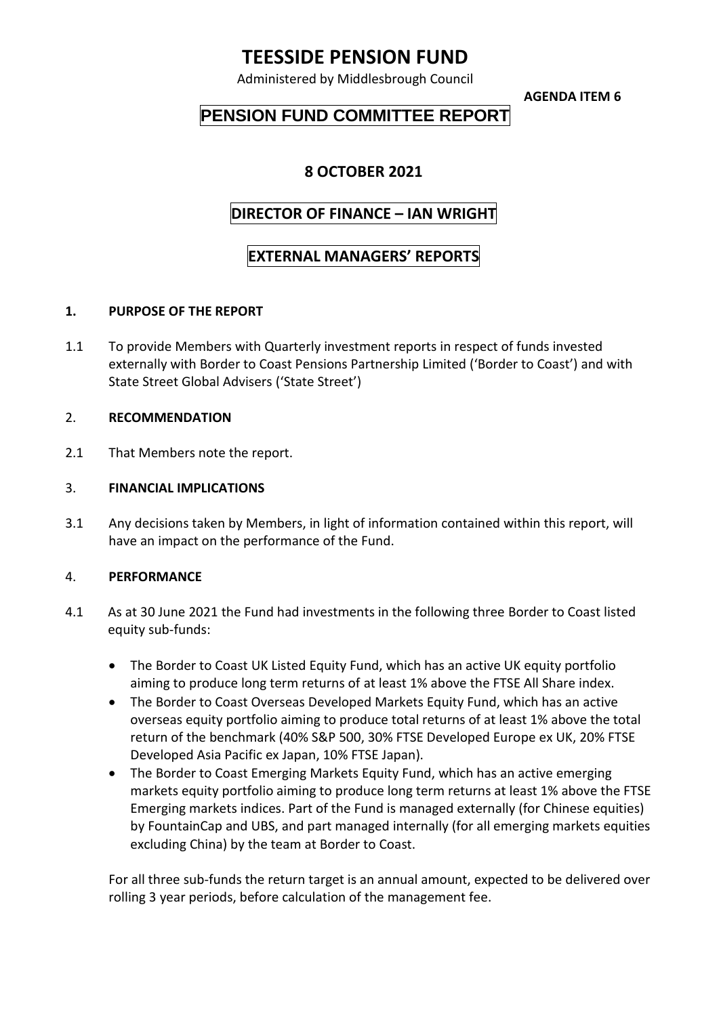# **TEESSIDE PENSION FUND**

Administered by Middlesbrough Council

**AGENDA ITEM 6**

## **PENSION FUND COMMITTEE REPORT**

### **8 OCTOBER 2021**

### **DIRECTOR OF FINANCE – IAN WRIGHT**

### **EXTERNAL MANAGERS' REPORTS**

#### **1. PURPOSE OF THE REPORT**

1.1 To provide Members with Quarterly investment reports in respect of funds invested externally with Border to Coast Pensions Partnership Limited ('Border to Coast') and with State Street Global Advisers ('State Street')

#### 2. **RECOMMENDATION**

2.1 That Members note the report.

#### 3. **FINANCIAL IMPLICATIONS**

3.1 Any decisions taken by Members, in light of information contained within this report, will have an impact on the performance of the Fund.

#### 4. **PERFORMANCE**

- 4.1 As at 30 June 2021 the Fund had investments in the following three Border to Coast listed equity sub-funds:
	- The Border to Coast UK Listed Equity Fund, which has an active UK equity portfolio aiming to produce long term returns of at least 1% above the FTSE All Share index.
	- The Border to Coast Overseas Developed Markets Equity Fund, which has an active overseas equity portfolio aiming to produce total returns of at least 1% above the total return of the benchmark (40% S&P 500, 30% FTSE Developed Europe ex UK, 20% FTSE Developed Asia Pacific ex Japan, 10% FTSE Japan).
	- The Border to Coast Emerging Markets Equity Fund, which has an active emerging markets equity portfolio aiming to produce long term returns at least 1% above the FTSE Emerging markets indices. Part of the Fund is managed externally (for Chinese equities) by FountainCap and UBS, and part managed internally (for all emerging markets equities excluding China) by the team at Border to Coast.

For all three sub-funds the return target is an annual amount, expected to be delivered over rolling 3 year periods, before calculation of the management fee.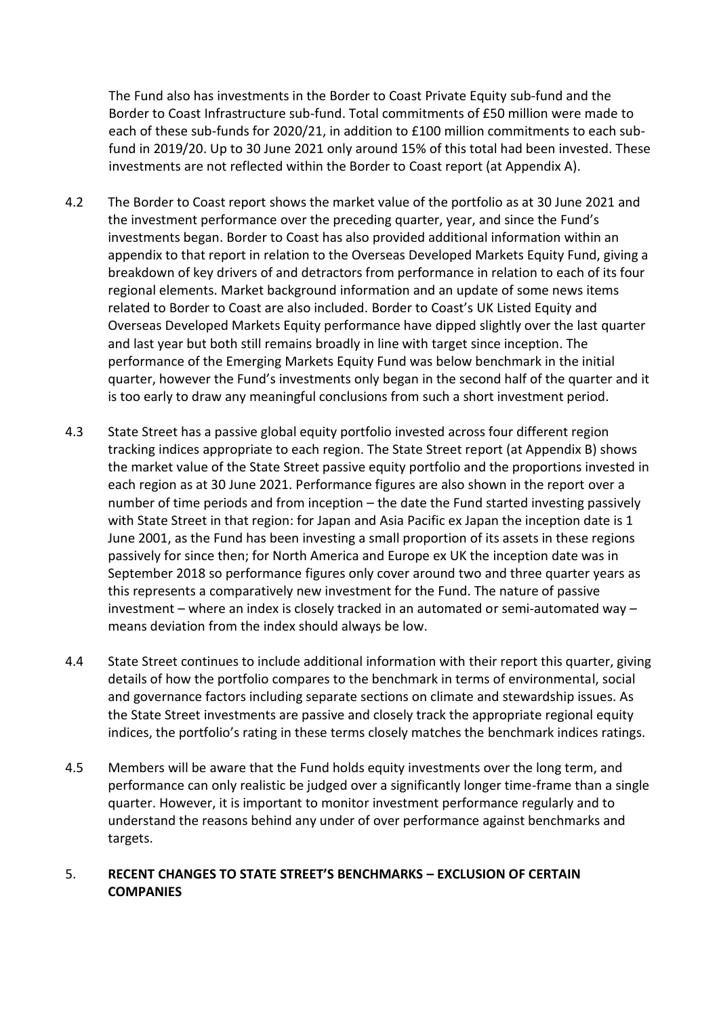The Fund also has investments in the Border to Coast Private Equity sub-fund and the Border to Coast Infrastructure sub-fund. Total commitments of £50 million were made to each of these sub-funds for 2020/21, in addition to £100 million commitments to each subfund in 2019/20. Up to 30 June 2021 only around 15% of this total had been invested. These investments are not reflected within the Border to Coast report (at Appendix A).

- 4.2 The Border to Coast report shows the market value of the portfolio as at 30 June 2021 and the investment performance over the preceding quarter, year, and since the Fund's investments began. Border to Coast has also provided additional information within an appendix to that report in relation to the Overseas Developed Markets Equity Fund, giving a breakdown of key drivers of and detractors from performance in relation to each of its four regional elements. Market background information and an update of some news items related to Border to Coast are also included. Border to Coast's UK Listed Equity and Overseas Developed Markets Equity performance have dipped slightly over the last quarter and last year but both still remains broadly in line with target since inception. The performance of the Emerging Markets Equity Fund was below benchmark in the initial quarter, however the Fund's investments only began in the second half of the quarter and it is too early to draw any meaningful conclusions from such a short investment period.
- 4.3 State Street has a passive global equity portfolio invested across four different region tracking indices appropriate to each region. The State Street report (at Appendix B) shows the market value of the State Street passive equity portfolio and the proportions invested in each region as at 30 June 2021. Performance figures are also shown in the report over a number of time periods and from inception – the date the Fund started investing passively with State Street in that region: for Japan and Asia Pacific ex Japan the inception date is 1 June 2001, as the Fund has been investing a small proportion of its assets in these regions passively for since then; for North America and Europe ex UK the inception date was in September 2018 so performance figures only cover around two and three quarter years as this represents a comparatively new investment for the Fund. The nature of passive investment – where an index is closely tracked in an automated or semi-automated way – means deviation from the index should always be low.
- 4.4 State Street continues to include additional information with their report this quarter, giving details of how the portfolio compares to the benchmark in terms of environmental, social and governance factors including separate sections on climate and stewardship issues. As the State Street investments are passive and closely track the appropriate regional equity indices, the portfolio's rating in these terms closely matches the benchmark indices ratings.
- 4.5 Members will be aware that the Fund holds equity investments over the long term, and performance can only realistic be judged over a significantly longer time-frame than a single quarter. However, it is important to monitor investment performance regularly and to understand the reasons behind any under of over performance against benchmarks and targets.

#### 5. **RECENT CHANGES TO STATE STREET'S BENCHMARKS – EXCLUSION OF CERTAIN COMPANIES**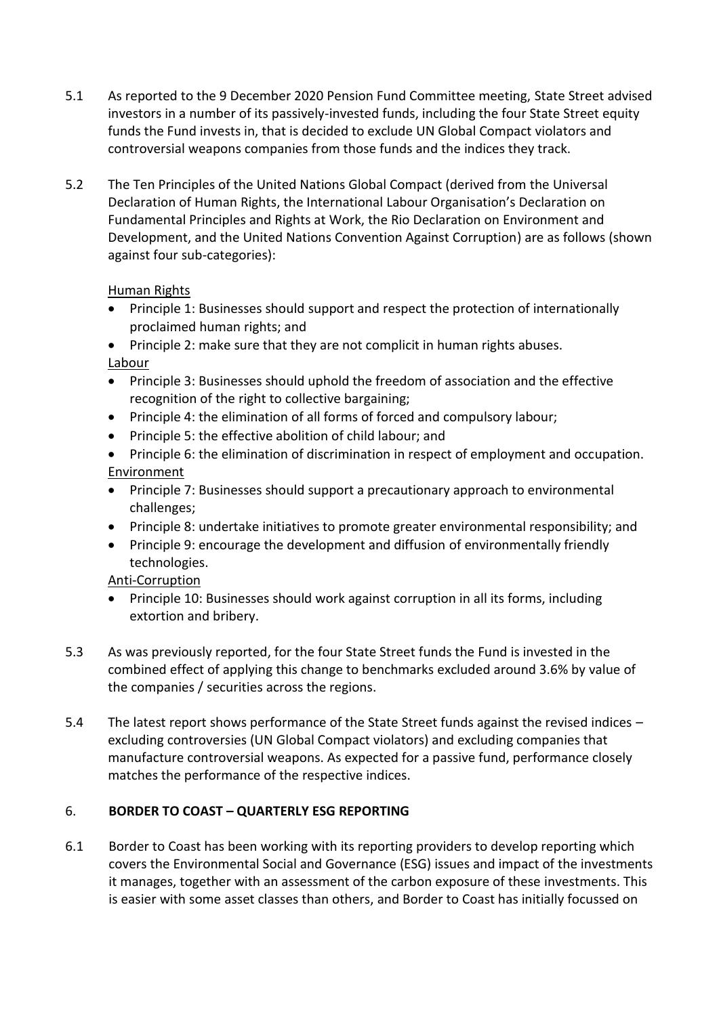- 5.1 As reported to the 9 December 2020 Pension Fund Committee meeting, State Street advised investors in a number of its passively-invested funds, including the four State Street equity funds the Fund invests in, that is decided to exclude UN Global Compact violators and controversial weapons companies from those funds and the indices they track.
- 5.2 The Ten Principles of the United Nations Global Compact (derived from the Universal Declaration of Human Rights, the International Labour Organisation's Declaration on Fundamental Principles and Rights at Work, the Rio Declaration on Environment and Development, and the United Nations Convention Against Corruption) are as follows (shown against four sub-categories):

#### Human Rights

 Principle 1: Businesses should support and respect the protection of internationally proclaimed human rights; and

• Principle 2: make sure that they are not complicit in human rights abuses. Labour

- Principle 3: Businesses should uphold the freedom of association and the effective recognition of the right to collective bargaining;
- Principle 4: the elimination of all forms of forced and compulsory labour;
- Principle 5: the effective abolition of child labour; and
- Principle 6: the elimination of discrimination in respect of employment and occupation. Environment
- Principle 7: Businesses should support a precautionary approach to environmental challenges;
- Principle 8: undertake initiatives to promote greater environmental responsibility; and
- Principle 9: encourage the development and diffusion of environmentally friendly technologies.

#### Anti-Corruption

- Principle 10: Businesses should work against corruption in all its forms, including extortion and bribery.
- 5.3 As was previously reported, for the four State Street funds the Fund is invested in the combined effect of applying this change to benchmarks excluded around 3.6% by value of the companies / securities across the regions.
- 5.4 The latest report shows performance of the State Street funds against the revised indices excluding controversies (UN Global Compact violators) and excluding companies that manufacture controversial weapons. As expected for a passive fund, performance closely matches the performance of the respective indices.

#### 6. **BORDER TO COAST – QUARTERLY ESG REPORTING**

6.1 Border to Coast has been working with its reporting providers to develop reporting which covers the Environmental Social and Governance (ESG) issues and impact of the investments it manages, together with an assessment of the carbon exposure of these investments. This is easier with some asset classes than others, and Border to Coast has initially focussed on